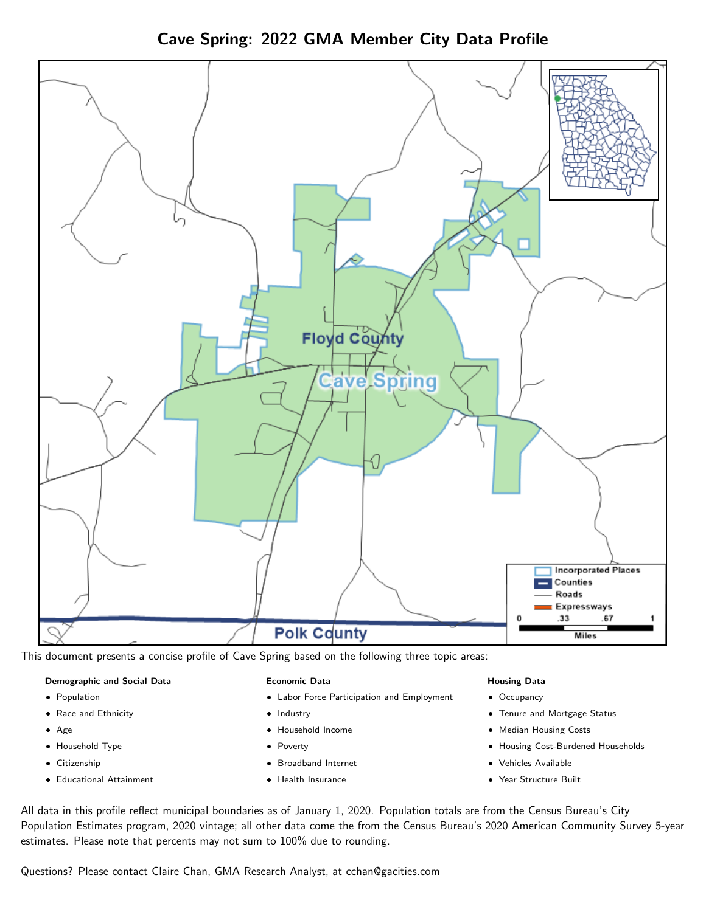Cave Spring: 2022 GMA Member City Data Profile



This document presents a concise profile of Cave Spring based on the following three topic areas:

#### Demographic and Social Data

- **•** Population
- Race and Ethnicity
- Age
- Household Type
- **Citizenship**
- Educational Attainment

#### Economic Data

- Labor Force Participation and Employment
- Industry
- Household Income
- Poverty
- Broadband Internet
- Health Insurance

#### Housing Data

- Occupancy
- Tenure and Mortgage Status
- Median Housing Costs
- Housing Cost-Burdened Households
- Vehicles Available
- $\bullet$ Year Structure Built

All data in this profile reflect municipal boundaries as of January 1, 2020. Population totals are from the Census Bureau's City Population Estimates program, 2020 vintage; all other data come the from the Census Bureau's 2020 American Community Survey 5-year estimates. Please note that percents may not sum to 100% due to rounding.

Questions? Please contact Claire Chan, GMA Research Analyst, at [cchan@gacities.com.](mailto:cchan@gacities.com)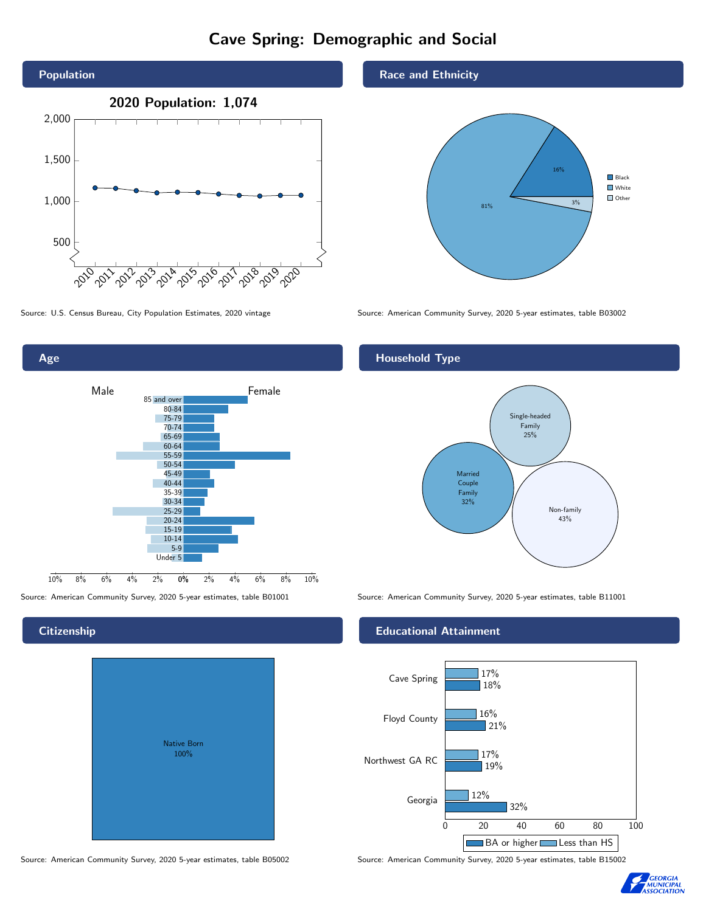# Cave Spring: Demographic and Social





# **Citizenship**

| <b>Native Born</b><br>100% |  |
|----------------------------|--|
|                            |  |
|                            |  |
|                            |  |
|                            |  |

Race and Ethnicity



Source: U.S. Census Bureau, City Population Estimates, 2020 vintage Source: American Community Survey, 2020 5-year estimates, table B03002

## Household Type



Source: American Community Survey, 2020 5-year estimates, table B01001 Source: American Community Survey, 2020 5-year estimates, table B11001

### Educational Attainment



Source: American Community Survey, 2020 5-year estimates, table B05002 Source: American Community Survey, 2020 5-year estimates, table B15002

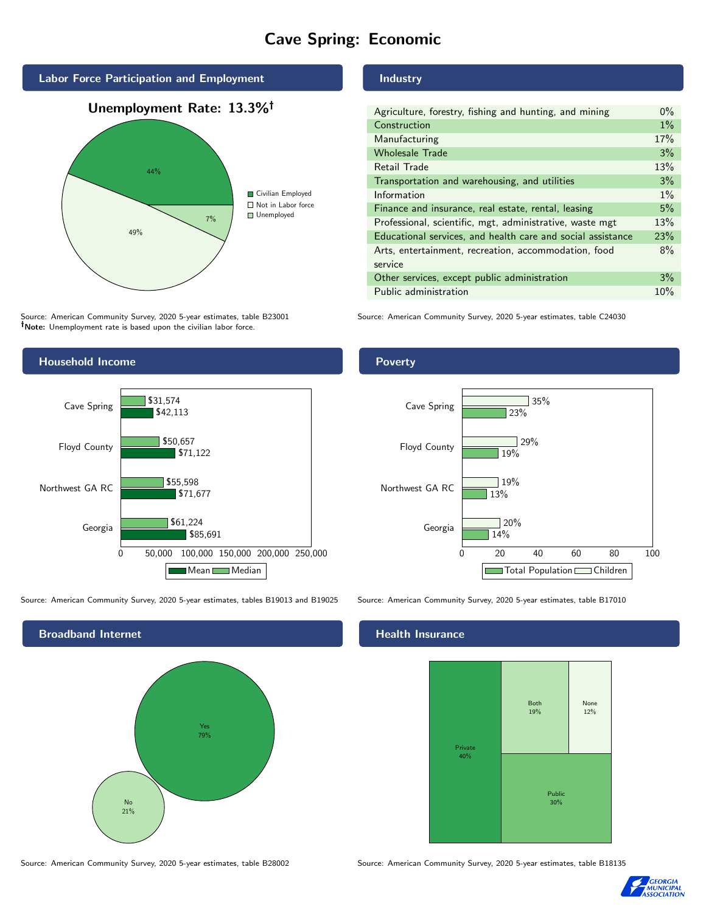# Cave Spring: Economic



Source: American Community Survey, 2020 5-year estimates, table B23001 Note: Unemployment rate is based upon the civilian labor force.

Industry

| Agriculture, forestry, fishing and hunting, and mining      |       |
|-------------------------------------------------------------|-------|
| Construction                                                | $1\%$ |
| Manufacturing                                               | 17%   |
| <b>Wholesale Trade</b>                                      | 3%    |
| Retail Trade                                                | 13%   |
| Transportation and warehousing, and utilities               |       |
| Information                                                 |       |
| Finance and insurance, real estate, rental, leasing         |       |
| Professional, scientific, mgt, administrative, waste mgt    |       |
| Educational services, and health care and social assistance |       |
| Arts, entertainment, recreation, accommodation, food        |       |
| service                                                     |       |
| Other services, except public administration                |       |
| Public administration                                       |       |

Source: American Community Survey, 2020 5-year estimates, table C24030



Source: American Community Survey, 2020 5-year estimates, tables B19013 and B19025 Source: American Community Survey, 2020 5-year estimates, table B17010

Broadband Internet No 21% Yes 79%

### Health Insurance



Source: American Community Survey, 2020 5-year estimates, table B28002 Source: American Community Survey, 2020 5-year estimates, table B18135



## Poverty